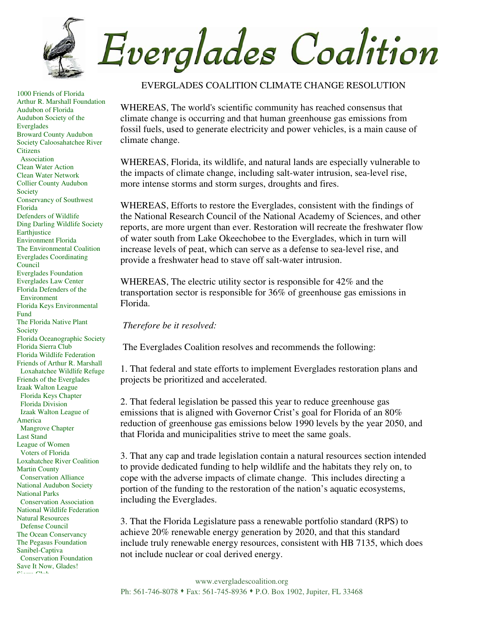

1000 Friends of Florida Arthur R. Marshall Foundation Audubon of Florida Audubon Society of the Everglades Broward County Audubon Society Caloosahatchee River **Citizens**  Association Clean Water Action Clean Water Network Collier County Audubon **Society** Conservancy of Southwest Florida Defenders of Wildlife Ding Darling Wildlife Society Earthjustice Environment Florida The Environmental Coalition Everglades Coordinating Council Everglades Foundation Everglades Law Center Florida Defenders of the Environment Florida Keys Environmental Fund The Florida Native Plant Society Florida Oceanographic Society Florida Sierra Club Florida Wildlife Federation Friends of Arthur R. Marshall Loxahatchee Wildlife Refuge Friends of the Everglades Izaak Walton League Florida Keys Chapter Florida Division Izaak Walton League of America Mangrove Chapter Last Stand League of Women Voters of Florida Loxahatchee River Coalition Martin County Conservation Alliance National Audubon Society National Parks Conservation Association National Wildlife Federation Natural Resources Defense Council The Ocean Conservancy The Pegasus Foundation Sanibel-Captiva Conservation Foundation Save It Now, Glades!  $\mathbf{S}^* = \mathbf{S}^*$ 

## EVERGLADES COALITION CLIMATE CHANGE RESOLUTION

WHEREAS, The world's scientific community has reached consensus that climate change is occurring and that human greenhouse gas emissions from fossil fuels, used to generate electricity and power vehicles, is a main cause of climate change.

WHEREAS, Florida, its wildlife, and natural lands are especially vulnerable to the impacts of climate change, including salt-water intrusion, sea-level rise, more intense storms and storm surges, droughts and fires.

WHEREAS, Efforts to restore the Everglades, consistent with the findings of the National Research Council of the National Academy of Sciences, and other reports, are more urgent than ever. Restoration will recreate the freshwater flow of water south from Lake Okeechobee to the Everglades, which in turn will increase levels of peat, which can serve as a defense to sea-level rise, and provide a freshwater head to stave off salt-water intrusion.

WHEREAS, The electric utility sector is responsible for 42% and the transportation sector is responsible for 36% of greenhouse gas emissions in Florida.

*Therefore be it resolved:*

The Everglades Coalition resolves and recommends the following:

1. That federal and state efforts to implement Everglades restoration plans and projects be prioritized and accelerated.

2. That federal legislation be passed this year to reduce greenhouse gas emissions that is aligned with Governor Crist's goal for Florida of an 80% reduction of greenhouse gas emissions below 1990 levels by the year 2050, and that Florida and municipalities strive to meet the same goals.

3. That any cap and trade legislation contain a natural resources section intended to provide dedicated funding to help wildlife and the habitats they rely on, to cope with the adverse impacts of climate change. This includes directing a portion of the funding to the restoration of the nation's aquatic ecosystems, including the Everglades.

3. That the Florida Legislature pass a renewable portfolio standard (RPS) to achieve 20% renewable energy generation by 2020, and that this standard include truly renewable energy resources, consistent with HB 7135, which does not include nuclear or coal derived energy.